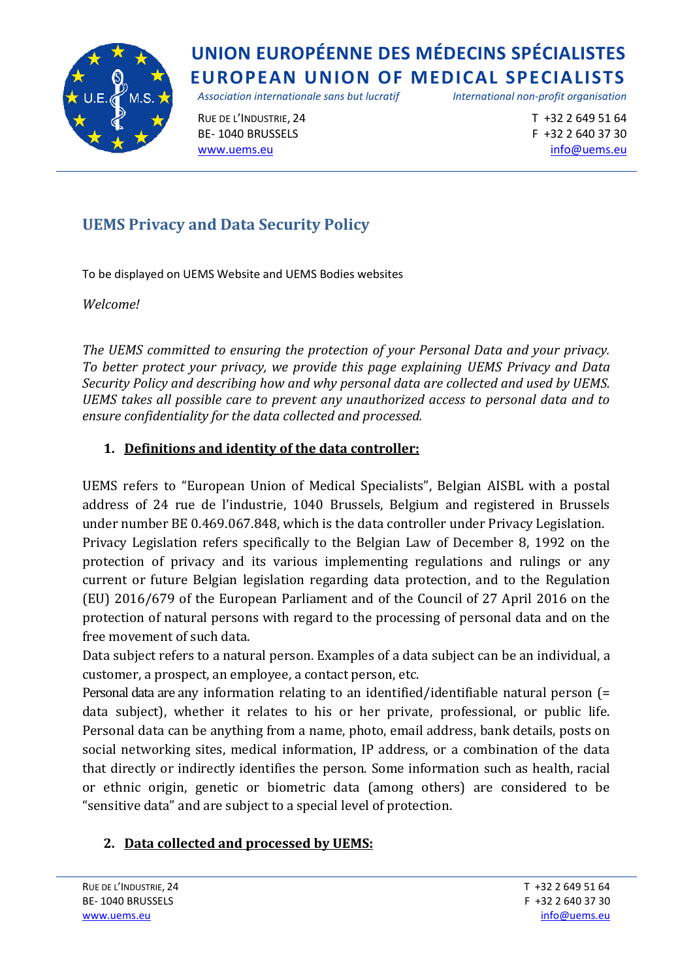

*Association internationale sans but lucratif International non-profit organisation*

RUE DE L'INDUSTRIE, 24  $\qquad \qquad$ T +32 2 649 51 64 BE- 1040 BRUSSELS F +32 2 640 37 30 [www.uems.eu](http://www.uems.eu/) [info@uems.eu](mailto:info@uems.eu) info@uems.eu

## **UEMS Privacy and Data Security Policy**

To be displayed on UEMS Website and UEMS Bodies websites

*Welcome!*

*The UEMS committed to ensuring the protection of your Personal Data and your privacy. To better protect your privacy, we provide this page explaining UEMS Privacy and Data Security Policy and describing how and why personal data are collected and used by UEMS. UEMS takes all possible care to prevent any unauthorized access to personal data and to ensure confidentiality for the data collected and processed.*

### **1. Definitions and identity of the data controller:**

UEMS refers to "European Union of Medical Specialists", Belgian AISBL with a postal address of 24 rue de l'industrie, 1040 Brussels, Belgium and registered in Brussels under number BE 0.469.067.848, which is the data controller under Privacy Legislation. Privacy Legislation refers specifically to the Belgian Law of December 8, 1992 on the protection of privacy and its various implementing regulations and rulings or any current or future Belgian legislation regarding data protection, and to the Regulation (EU) 2016/679 of the European Parliament and of the Council of 27 April 2016 on the protection of natural persons with regard to the processing of personal data and on the free movement of such data.

Data subject refers to a natural person. Examples of a data subject can be an individual, a customer, a prospect, an employee, a contact person, etc.

Personal data are any information relating to an identified/identifiable natural person (= data subject), whether it relates to his or her private, professional, or public life. Personal data can be anything from a name, photo, email address, bank details, posts on social networking sites, medical information, IP address, or a combination of the data that directly or indirectly identifies the person. Some information such as health, racial or ethnic origin, genetic or biometric data (among others) are considered to be "sensitive data" and are subject to a special level of protection.

### **2. Data collected and processed by UEMS:**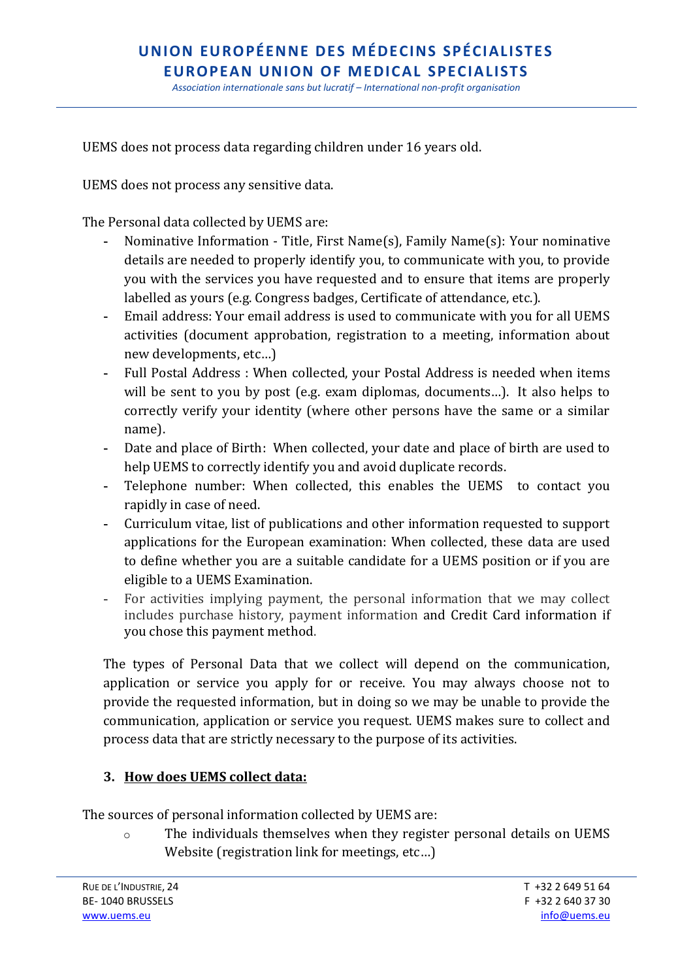*Association internationale sans but lucratif – International non-profit organisation*

UEMS does not process data regarding children under 16 years old.

UEMS does not process any sensitive data.

The Personal data collected by UEMS are:

- **-** Nominative Information Title, First Name(s), Family Name(s): Your nominative details are needed to properly identify you, to communicate with you, to provide you with the services you have requested and to ensure that items are properly labelled as yours (e.g. Congress badges, Certificate of attendance, etc.).
- **-** Email address: Your email address is used to communicate with you for all UEMS activities (document approbation, registration to a meeting, information about new developments, etc…)
- **-** Full Postal Address : When collected, your Postal Address is needed when items will be sent to you by post (e.g. exam diplomas, documents…). It also helps to correctly verify your identity (where other persons have the same or a similar name).
- **-** Date and place of Birth: When collected, your date and place of birth are used to help UEMS to correctly identify you and avoid duplicate records.
- **-** Telephone number: When collected, this enables the UEMS to contact you rapidly in case of need.
- **-** Curriculum vitae, list of publications and other information requested to support applications for the European examination: When collected, these data are used to define whether you are a suitable candidate for a UEMS position or if you are eligible to a UEMS Examination.
- **-** For activities implying payment, the personal information that we may collect includes purchase history, payment information and Credit Card information if you chose this payment method.

The types of Personal Data that we collect will depend on the communication, application or service you apply for or receive. You may always choose not to provide the requested information, but in doing so we may be unable to provide the communication, application or service you request. UEMS makes sure to collect and process data that are strictly necessary to the purpose of its activities.

#### **3. How does UEMS collect data:**

The sources of personal information collected by UEMS are:

o The individuals themselves when they register personal details on UEMS Website (registration link for meetings, etc…)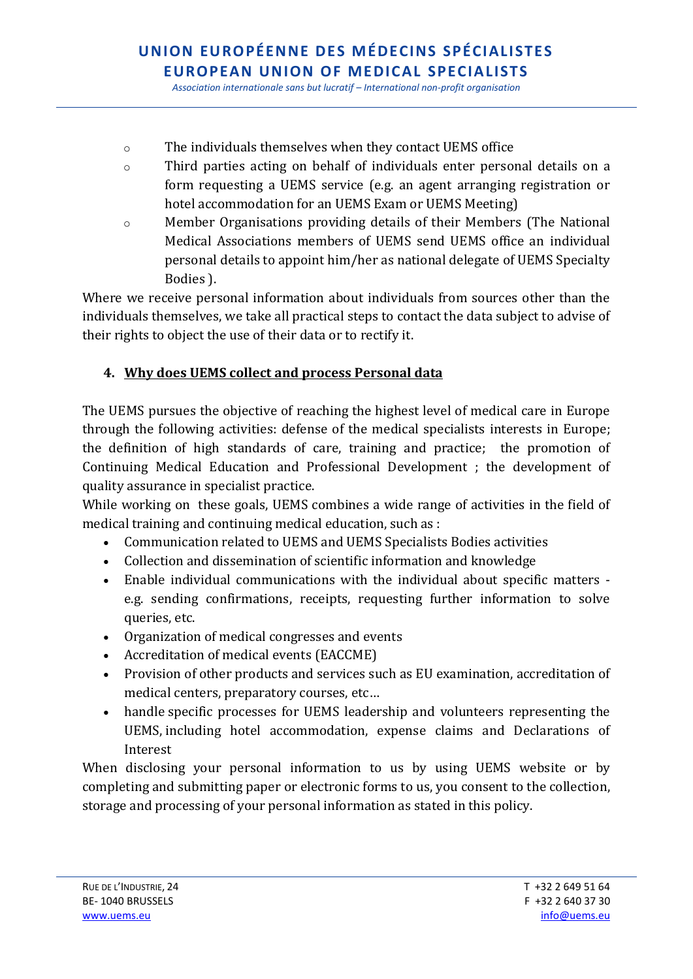*Association internationale sans but lucratif – International non-profit organisation*

- o The individuals themselves when they contact UEMS office
- o Third parties acting on behalf of individuals enter personal details on a form requesting a UEMS service (e.g. an agent arranging registration or hotel accommodation for an UEMS Exam or UEMS Meeting)
- o Member Organisations providing details of their Members (The National Medical Associations members of UEMS send UEMS office an individual personal details to appoint him/her as national delegate of UEMS Specialty Bodies ).

Where we receive personal information about individuals from sources other than the individuals themselves, we take all practical steps to contact the data subject to advise of their rights to object the use of their data or to rectify it.

### **4. Why does UEMS collect and process Personal data**

The UEMS pursues the objective of reaching the highest level of medical care in Europe through the following activities: defense of the medical specialists interests in Europe; the definition of high standards of care, training and practice; the promotion of Continuing Medical Education and Professional Development ; the development of quality assurance in specialist practice.

While working on these goals, UEMS combines a wide range of activities in the field of medical training and continuing medical education, such as :

- Communication related to UEMS and UEMS Specialists Bodies activities
- Collection and dissemination of scientific information and knowledge
- Enable individual communications with the individual about specific matters e.g. sending confirmations, receipts, requesting further information to solve queries, etc.
- Organization of medical congresses and events
- Accreditation of medical events (EACCME)
- Provision of other products and services such as EU examination, accreditation of medical centers, preparatory courses, etc…
- handle specific processes for UEMS leadership and volunteers representing the UEMS, including hotel accommodation, expense claims and Declarations of Interest

When disclosing your personal information to us by using UEMS website or by completing and submitting paper or electronic forms to us, you consent to the collection, storage and processing of your personal information as stated in this policy.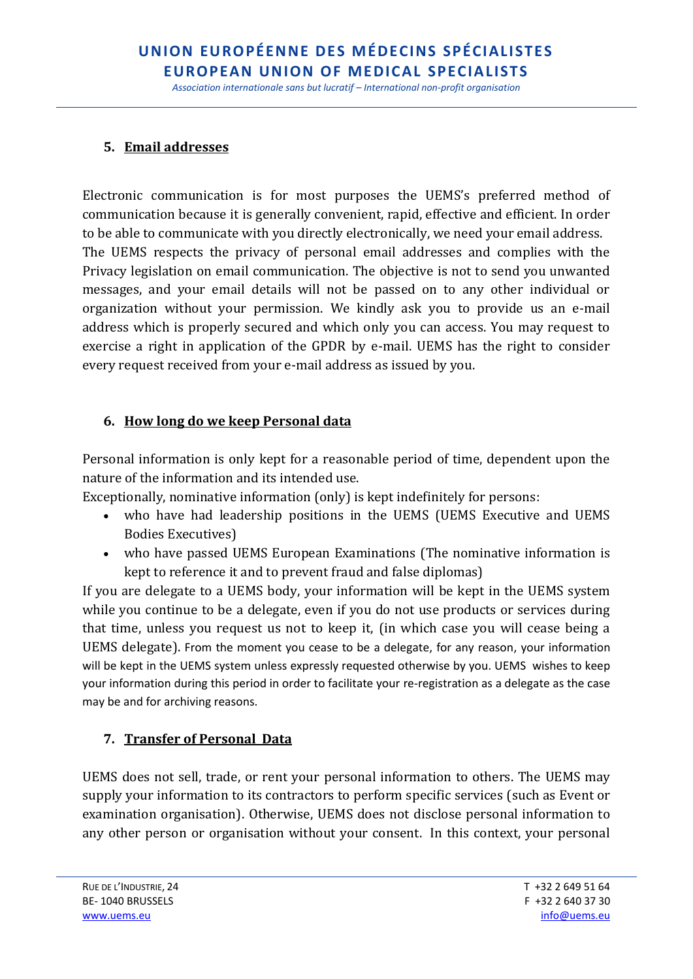*Association internationale sans but lucratif – International non-profit organisation*

#### **5. Email addresses**

Electronic communication is for most purposes the UEMS's preferred method of communication because it is generally convenient, rapid, effective and efficient. In order to be able to communicate with you directly electronically, we need your email address. The UEMS respects the privacy of personal email addresses and complies with the Privacy legislation on email communication. The objective is not to send you unwanted messages, and your email details will not be passed on to any other individual or organization without your permission. We kindly ask you to provide us an e-mail address which is properly secured and which only you can access. You may request to exercise a right in application of the GPDR by e-mail. UEMS has the right to consider every request received from your e-mail address as issued by you.

#### **6. How long do we keep Personal data**

Personal information is only kept for a reasonable period of time, dependent upon the nature of the information and its intended use.

Exceptionally, nominative information (only) is kept indefinitely for persons:

- who have had leadership positions in the UEMS (UEMS Executive and UEMS Bodies Executives)
- who have passed UEMS European Examinations (The nominative information is kept to reference it and to prevent fraud and false diplomas)

If you are delegate to a UEMS body, your information will be kept in the UEMS system while you continue to be a delegate, even if you do not use products or services during that time, unless you request us not to keep it, (in which case you will cease being a UEMS delegate). From the moment you cease to be a delegate, for any reason, your information will be kept in the UEMS system unless expressly requested otherwise by you. UEMS wishes to keep your information during this period in order to facilitate your re-registration as a delegate as the case may be and for archiving reasons.

#### **7. Transfer of Personal Data**

UEMS does not sell, trade, or rent your personal information to others. The UEMS may supply your information to its contractors to perform specific services (such as Event or examination organisation). Otherwise, UEMS does not disclose personal information to any other person or organisation without your consent. In this context, your personal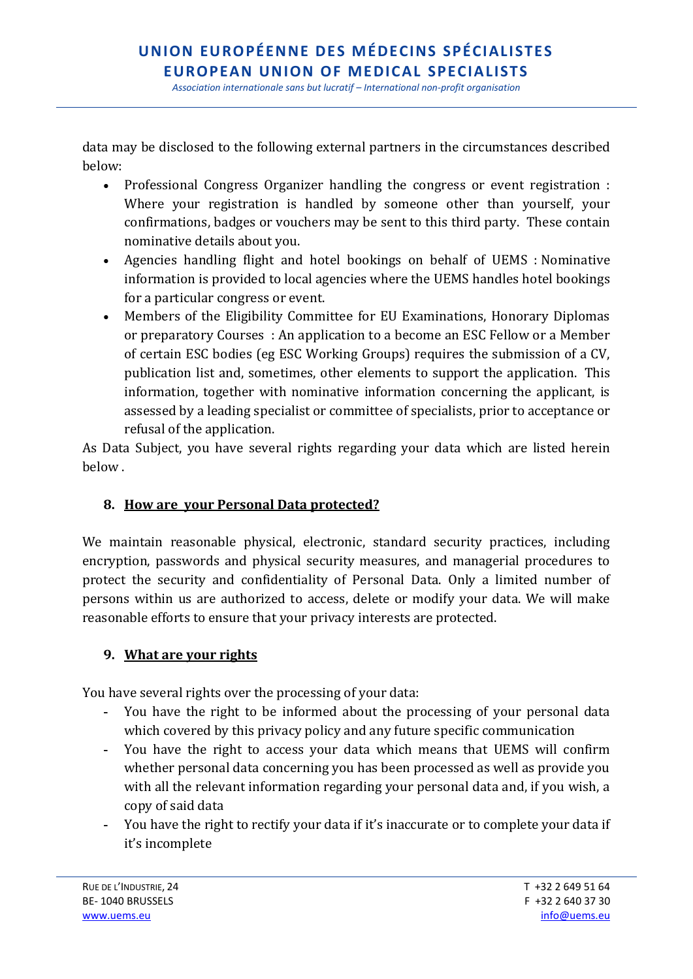*Association internationale sans but lucratif – International non-profit organisation*

data may be disclosed to the following external partners in the circumstances described below:

- Professional Congress Organizer handling the congress or event registration : Where your registration is handled by someone other than yourself, your confirmations, badges or vouchers may be sent to this third party. These contain nominative details about you.
- Agencies handling flight and hotel bookings on behalf of UEMS : Nominative information is provided to local agencies where the UEMS handles hotel bookings for a particular congress or event.
- Members of the Eligibility Committee for EU Examinations, Honorary Diplomas or preparatory Courses : An application to a become an ESC Fellow or a Member of certain ESC bodies (eg ESC Working Groups) requires the submission of a CV, publication list and, sometimes, other elements to support the application. This information, together with nominative information concerning the applicant, is assessed by a leading specialist or committee of specialists, prior to acceptance or refusal of the application.

As Data Subject, you have several rights regarding your data which are listed herein below .

#### **8. How are your Personal Data protected?**

We maintain reasonable physical, electronic, standard security practices, including encryption, passwords and physical security measures, and managerial procedures to protect the security and confidentiality of Personal Data. Only a limited number of persons within us are authorized to access, delete or modify your data. We will make reasonable efforts to ensure that your privacy interests are protected.

#### **9. What are your rights**

You have several rights over the processing of your data:

- **-** You have the right to be informed about the processing of your personal data which covered by this privacy policy and any future specific communication
- **-** You have the right to access your data which means that UEMS will confirm whether personal data concerning you has been processed as well as provide you with all the relevant information regarding your personal data and, if you wish, a copy of said data
- **-** You have the right to rectify your data if it's inaccurate or to complete your data if it's incomplete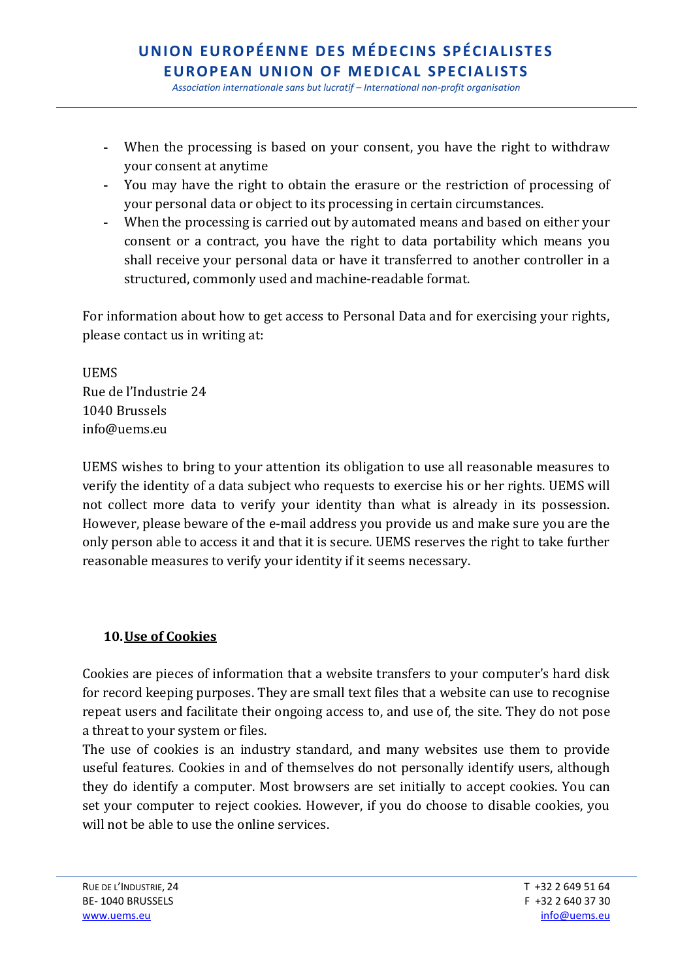*Association internationale sans but lucratif – International non-profit organisation*

- **-** When the processing is based on your consent, you have the right to withdraw your consent at anytime
- **-** You may have the right to obtain the erasure or the restriction of processing of your personal data or object to its processing in certain circumstances.
- **-** When the processing is carried out by automated means and based on either your consent or a contract, you have the right to data portability which means you shall receive your personal data or have it transferred to another controller in a structured, commonly used and machine-readable format.

For information about how to get access to Personal Data and for exercising your rights, please contact us in writing at:

UEMS Rue de l'Industrie 24 1040 Brussels info@uems.eu

UEMS wishes to bring to your attention its obligation to use all reasonable measures to verify the identity of a data subject who requests to exercise his or her rights. UEMS will not collect more data to verify your identity than what is already in its possession. However, please beware of the e-mail address you provide us and make sure you are the only person able to access it and that it is secure. UEMS reserves the right to take further reasonable measures to verify your identity if it seems necessary.

### **10.Use of Cookies**

Cookies are pieces of information that a website transfers to your computer's hard disk for record keeping purposes. They are small text files that a website can use to recognise repeat users and facilitate their ongoing access to, and use of, the site. They do not pose a threat to your system or files.

The use of cookies is an industry standard, and many websites use them to provide useful features. Cookies in and of themselves do not personally identify users, although they do identify a computer. Most browsers are set initially to accept cookies. You can set your computer to reject cookies. However, if you do choose to disable cookies, you will not be able to use the online services.